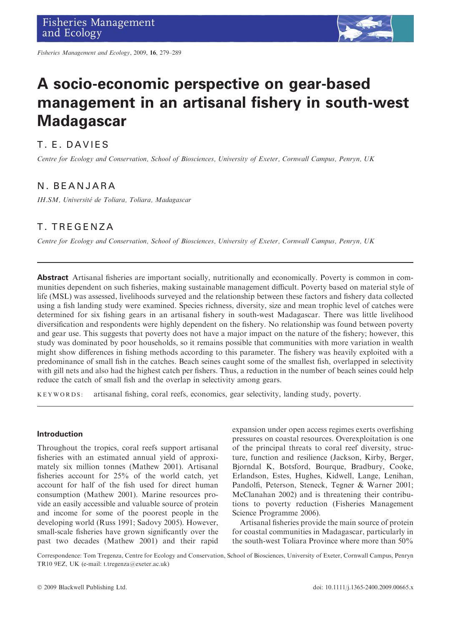Fisheries Management and Ecology, 2009, 16, 279–289

# A socio-economic perspective on gear-based management in an artisanal fishery in south-west Madagascar

# T. E. DAVIES

Centre for Ecology and Conservation, School of Biosciences, University of Exeter, Cornwall Campus, Penryn, UK

# N. BEANJARA

IH.SM, Université de Toliara, Toliara, Madagascar

# T. TREGENZA

Centre for Ecology and Conservation, School of Biosciences, University of Exeter, Cornwall Campus, Penryn, UK

Abstract Artisanal fisheries are important socially, nutritionally and economically. Poverty is common in communities dependent on such fisheries, making sustainable management difficult. Poverty based on material style of life (MSL) was assessed, livelihoods surveyed and the relationship between these factors and fishery data collected using a fish landing study were examined. Species richness, diversity, size and mean trophic level of catches were determined for six fishing gears in an artisanal fishery in south-west Madagascar. There was little livelihood diversification and respondents were highly dependent on the fishery. No relationship was found between poverty and gear use. This suggests that poverty does not have a major impact on the nature of the fishery; however, this study was dominated by poor households, so it remains possible that communities with more variation in wealth might show differences in fishing methods according to this parameter. The fishery was heavily exploited with a predominance of small fish in the catches. Beach seines caught some of the smallest fish, overlapped in selectivity with gill nets and also had the highest catch per fishers. Thus, a reduction in the number of beach seines could help reduce the catch of small fish and the overlap in selectivity among gears.

KEYWORDS: artisanal fishing, coral reefs, economics, gear selectivity, landing study, poverty.

### Introduction

Throughout the tropics, coral reefs support artisanal fisheries with an estimated annual yield of approximately six million tonnes (Mathew 2001). Artisanal fisheries account for 25% of the world catch, yet account for half of the fish used for direct human consumption (Mathew 2001). Marine resources provide an easily accessible and valuable source of protein and income for some of the poorest people in the developing world (Russ 1991; Sadovy 2005). However, small-scale fisheries have grown significantly over the past two decades (Mathew 2001) and their rapid expansion under open access regimes exerts overfishing pressures on coastal resources. Overexploitation is one of the principal threats to coral reef diversity, structure, function and resilience (Jackson, Kirby, Berger, Bjorndal K, Botsford, Bourque, Bradbury, Cooke, Erlandson, Estes, Hughes, Kidwell, Lange, Lenihan, Pandolfi, Peterson, Steneck, Tegner & Warner 2001; McClanahan 2002) and is threatening their contributions to poverty reduction (Fisheries Management Science Programme 2006).

Artisanal fisheries provide the main source of protein for coastal communities in Madagascar, particularly in the south-west Toliara Province where more than 50%

Correspondence: Tom Tregenza, Centre for Ecology and Conservation, School of Biosciences, University of Exeter, Cornwall Campus, Penryn TR10 9EZ, UK (e-mail: t.tregenza@exeter.ac.uk)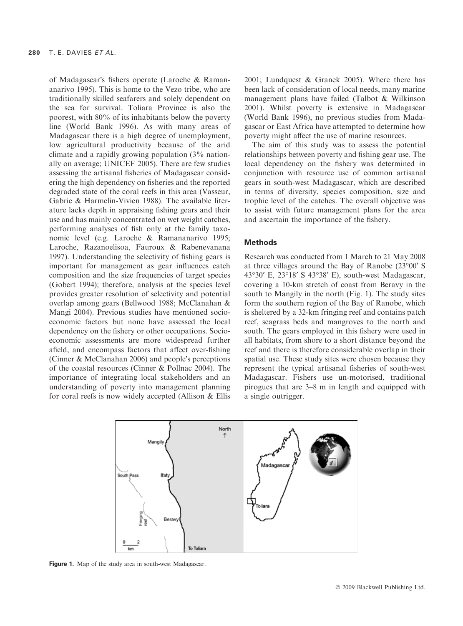of Madagascar's fishers operate (Laroche & Ramananarivo 1995). This is home to the Vezo tribe, who are traditionally skilled seafarers and solely dependent on the sea for survival. Toliara Province is also the poorest, with 80% of its inhabitants below the poverty line (World Bank 1996). As with many areas of Madagascar there is a high degree of unemployment, low agricultural productivity because of the arid climate and a rapidly growing population (3% nationally on average; UNICEF 2005). There are few studies assessing the artisanal fisheries of Madagascar considering the high dependency on fisheries and the reported degraded state of the coral reefs in this area (Vasseur, Gabrie & Harmelin-Vivien 1988). The available literature lacks depth in appraising fishing gears and their use and has mainly concentrated on wet weight catches, performing analyses of fish only at the family taxonomic level (e.g. Laroche & Ramananarivo 1995; Laroche, Razanoelisoa, Fauroux & Rabenevanana 1997). Understanding the selectivity of fishing gears is important for management as gear influences catch composition and the size frequencies of target species (Gobert 1994); therefore, analysis at the species level provides greater resolution of selectivity and potential overlap among gears (Bellwood 1988; McClanahan & Mangi 2004). Previous studies have mentioned socioeconomic factors but none have assessed the local dependency on the fishery or other occupations. Socioeconomic assessments are more widespread further afield, and encompass factors that affect over-fishing (Cinner & McClanahan 2006) and people's perceptions of the coastal resources (Cinner & Pollnac 2004). The importance of integrating local stakeholders and an understanding of poverty into management planning for coral reefs is now widely accepted (Allison & Ellis 2001; Lundquest & Granek 2005). Where there has been lack of consideration of local needs, many marine management plans have failed (Talbot & Wilkinson 2001). Whilst poverty is extensive in Madagascar (World Bank 1996), no previous studies from Madagascar or East Africa have attempted to determine how poverty might affect the use of marine resources.

The aim of this study was to assess the potential relationships between poverty and fishing gear use. The local dependency on the fishery was determined in conjunction with resource use of common artisanal gears in south-west Madagascar, which are described in terms of diversity, species composition, size and trophic level of the catches. The overall objective was to assist with future management plans for the area and ascertain the importance of the fishery.

#### Methods

Research was conducted from 1 March to 21 May 2008 at three villages around the Bay of Ranobe  $(23°00' S$ 43 $\degree$ 30′ E, 23 $\degree$ 18′ S 43 $\degree$ 38′ E), south-west Madagascar, covering a 10-km stretch of coast from Beravy in the south to Mangily in the north (Fig. 1). The study sites form the southern region of the Bay of Ranobe, which is sheltered by a 32-km fringing reef and contains patch reef, seagrass beds and mangroves to the north and south. The gears employed in this fishery were used in all habitats, from shore to a short distance beyond the reef and there is therefore considerable overlap in their spatial use. These study sites were chosen because they represent the typical artisanal fisheries of south-west Madagascar. Fishers use un-motorised, traditional pirogues that are 3–8 m in length and equipped with a single outrigger.



Figure 1. Map of the study area in south-west Madagascar.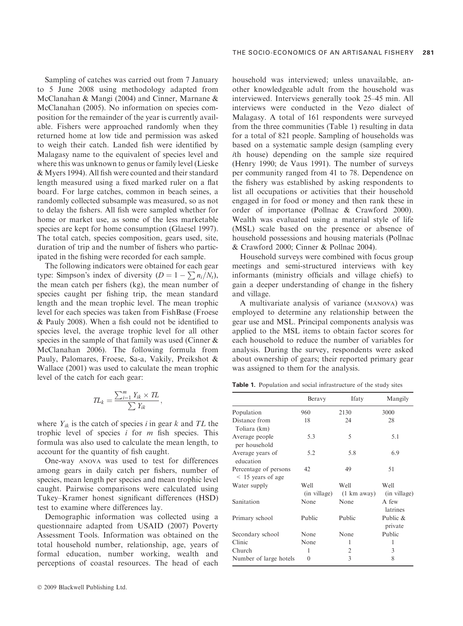Sampling of catches was carried out from 7 January to 5 June 2008 using methodology adapted from McClanahan & Mangi (2004) and Cinner, Marnane & McClanahan (2005). No information on species composition for the remainder of the year is currently available. Fishers were approached randomly when they returned home at low tide and permission was asked to weigh their catch. Landed fish were identified by Malagasy name to the equivalent of species level and where this was unknown to genus or family level (Lieske & Myers 1994). All fish were counted and their standard length measured using a fixed marked ruler on a flat board. For large catches, common in beach seines, a randomly collected subsample was measured, so as not to delay the fishers. All fish were sampled whether for home or market use, as some of the less marketable species are kept for home consumption (Glaesel 1997). The total catch, species composition, gears used, site, duration of trip and the number of fishers who participated in the fishing were recorded for each sample.

The following indicators were obtained for each gear type: Simpson's index of diversity  $(D = 1 - \sum n_i/N_t)$ , the mean catch per fishers (kg), the mean number of species caught per fishing trip, the mean standard length and the mean trophic level. The mean trophic level for each species was taken from FishBase (Froese & Pauly 2008). When a fish could not be identified to species level, the average trophic level for all other species in the sample of that family was used (Cinner  $\&$ McClanahan 2006). The following formula from Pauly, Palomares, Froese, Sa-a, Vakily, Preikshot & Wallace (2001) was used to calculate the mean trophic level of the catch for each gear:

$$
TL_k = \frac{\sum_{i=1}^{m} Y_{ik} \times TL}{\sum Y_{ik}},
$$

where  $Y_{ik}$  is the catch of species i in gear k and TL the trophic level of species  $i$  for  $m$  fish species. This formula was also used to calculate the mean length, to account for the quantity of fish caught.

One-way ANOVA was used to test for differences among gears in daily catch per fishers, number of species, mean length per species and mean trophic level caught. Pairwise comparisons were calculated using Tukey–Kramer honest significant differences (HSD) test to examine where differences lay.

Demographic information was collected using a questionnaire adapted from USAID (2007) Poverty Assessment Tools. Information was obtained on the total household number, relationship, age, years of formal education, number working, wealth and perceptions of coastal resources. The head of each

household was interviewed; unless unavailable, another knowledgeable adult from the household was interviewed. Interviews generally took 25–45 min. All interviews were conducted in the Vezo dialect of Malagasy. A total of 161 respondents were surveyed from the three communities (Table 1) resulting in data for a total of 821 people. Sampling of households was based on a systematic sample design (sampling every ith house) depending on the sample size required (Henry 1990; de Vaus 1991). The number of surveys per community ranged from 41 to 78. Dependence on the fishery was established by asking respondents to list all occupations or activities that their household engaged in for food or money and then rank these in order of importance (Pollnac & Crawford 2000). Wealth was evaluated using a material style of life (MSL) scale based on the presence or absence of household possessions and housing materials (Pollnac & Crawford 2000; Cinner & Pollnac 2004).

Household surveys were combined with focus group meetings and semi-structured interviews with key informants (ministry officials and village chiefs) to gain a deeper understanding of change in the fishery and village.

A multivariate analysis of variance (MANOVA) was employed to determine any relationship between the gear use and MSL. Principal components analysis was applied to the MSL items to obtain factor scores for each household to reduce the number of variables for analysis. During the survey, respondents were asked about ownership of gears; their reported primary gear was assigned to them for the analysis.

Table 1. Population and social infrastructure of the study sites

|                                                 | Beravy               | Ifaty                         | Mangily              |
|-------------------------------------------------|----------------------|-------------------------------|----------------------|
| Population                                      | 960                  | 2130                          | 3000                 |
| Distance from<br>Toliara (km)                   | 18                   | 24                            | 28                   |
| Average people<br>per household                 | 5.3                  | 5                             | 5.1                  |
| Average years of<br>education                   | 5.2                  | 5.8                           | 6.9                  |
| Percentage of persons<br>$\leq$ 15 years of age | 42                   | 49                            | 51                   |
| Water supply                                    | Well<br>(in village) | Well<br>$(1 \text{ km away})$ | Well<br>(in village) |
| Sanitation                                      | None                 | None                          | A few<br>latrines    |
| Primary school                                  | Public               | Public                        | Public &<br>private  |
| Secondary school                                | None                 | None                          | Public               |
| Clinic                                          | None                 | 1                             | 1                    |
| Church                                          | 1                    | $\overline{2}$                | 3                    |
| Number of large hotels                          | 0                    | 3                             | 8                    |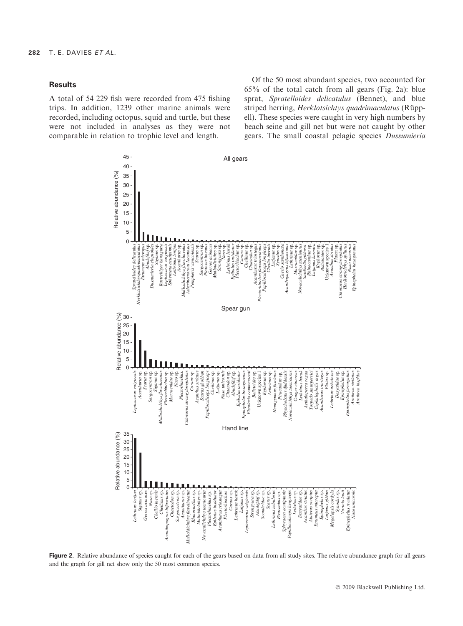#### **Results**

A total of 54 229 fish were recorded from 475 fishing trips. In addition, 1239 other marine animals were recorded, including octopus, squid and turtle, but these were not included in analyses as they were not comparable in relation to trophic level and length.

Of the 50 most abundant species, two accounted for 65% of the total catch from all gears (Fig. 2a): blue sprat, Spratelloides delicatulus (Bennet), and blue striped herring, Herklotsichtys quadrimaculatus (Rüppell). These species were caught in very high numbers by beach seine and gill net but were not caught by other gears. The small coastal pelagic species Dussumieria



Figure 2. Relative abundance of species caught for each of the gears based on data from all study sites. The relative abundance graph for all gears and the graph for gill net show only the 50 most common species.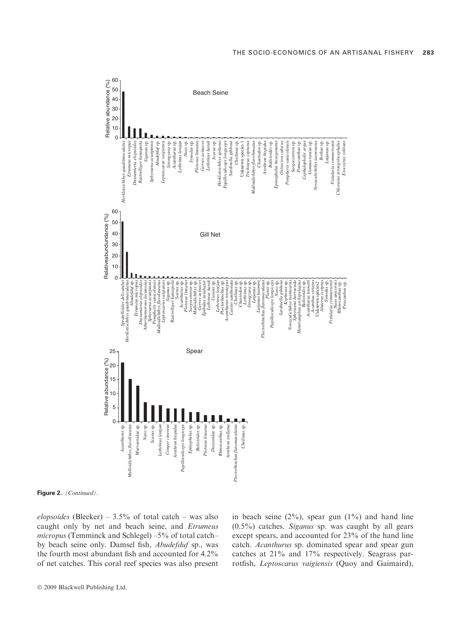

Figure 2. (Continued).

elopsoides (Bleeker) –  $3.5\%$  of total catch – was also caught only by net and beach seine, and Etrumeus micropus (Temminck and Schlegel) –5% of total catch– by beach seine only. Damsel fish, Abudefduf sp., was the fourth most abundant fish and accounted for 4.2% of net catches. This coral reef species was also present in beach seine  $(2\%)$ , spear gun  $(1\%)$  and hand line (0.5%) catches. Siganus sp. was caught by all gears except spears, and accounted for 23% of the hand line catch. Acanthurus sp. dominated spear and spear gun catches at 21% and 17% respectively. Seagrass par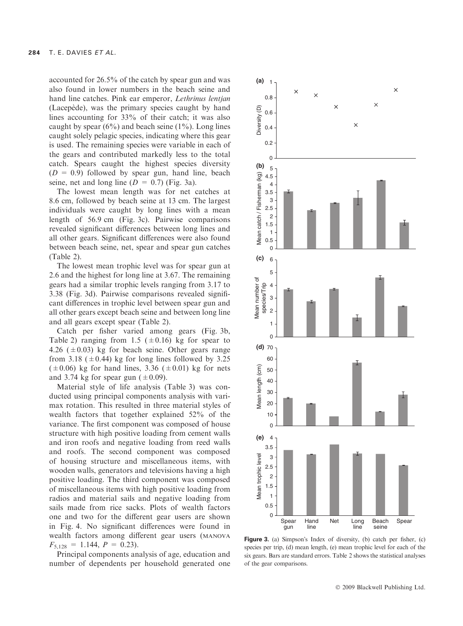accounted for 26.5% of the catch by spear gun and was also found in lower numbers in the beach seine and hand line catches. Pink ear emperor, Lethrinus lentjan (Lacepède), was the primary species caught by hand lines accounting for 33% of their catch; it was also caught by spear  $(6\%)$  and beach seine  $(1\%)$ . Long lines caught solely pelagic species, indicating where this gear is used. The remaining species were variable in each of the gears and contributed markedly less to the total catch. Spears caught the highest species diversity  $(D = 0.9)$  followed by spear gun, hand line, beach seine, net and long line  $(D = 0.7)$  (Fig. 3a).

The lowest mean length was for net catches at 8.6 cm, followed by beach seine at 13 cm. The largest individuals were caught by long lines with a mean length of 56.9 cm (Fig. 3c). Pairwise comparisons revealed significant differences between long lines and all other gears. Significant differences were also found between beach seine, net, spear and spear gun catches (Table 2).

The lowest mean trophic level was for spear gun at 2.6 and the highest for long line at 3.67. The remaining gears had a similar trophic levels ranging from 3.17 to 3.38 (Fig. 3d). Pairwise comparisons revealed significant differences in trophic level between spear gun and all other gears except beach seine and between long line and all gears except spear (Table 2).

Catch per fisher varied among gears (Fig. 3b, Table 2) ranging from 1.5 ( $\pm$ 0.16) kg for spear to 4.26 ( $\pm$ 0.03) kg for beach seine. Other gears range from 3.18 ( $\pm$ 0.44) kg for long lines followed by 3.25  $(\pm 0.06)$  kg for hand lines, 3.36 ( $\pm 0.01$ ) kg for nets and 3.74 kg for spear gun  $(\pm 0.09)$ .

Material style of life analysis (Table 3) was conducted using principal components analysis with varimax rotation. This resulted in three material styles of wealth factors that together explained 52% of the variance. The first component was composed of house structure with high positive loading from cement walls and iron roofs and negative loading from reed walls and roofs. The second component was composed of housing structure and miscellaneous items, with wooden walls, generators and televisions having a high positive loading. The third component was composed of miscellaneous items with high positive loading from radios and material sails and negative loading from sails made from rice sacks. Plots of wealth factors one and two for the different gear users are shown in Fig. 4. No significant differences were found in wealth factors among different gear users (MANOVA  $F_{5,128} = 1.144, P = 0.23$ .

Principal components analysis of age, education and number of dependents per household generated one



**Figure 3.** (a) Simpson's Index of diversity, (b) catch per fisher, (c) species per trip, (d) mean length, (e) mean trophic level for each of the six gears. Bars are standard errors. Table 2 shows the statistical analyses of the gear comparisons.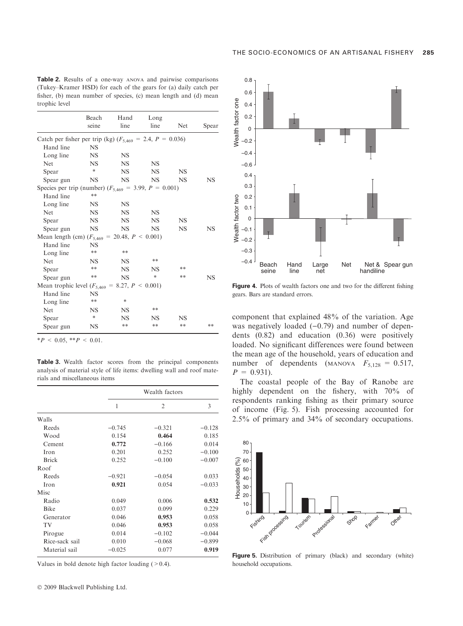Table 2. Results of a one-way ANOVA and pairwise comparisons (Tukey–Kramer HSD) for each of the gears for (a) daily catch per fisher, (b) mean number of species, (c) mean length and (d) mean trophic level

|                                                               | Beach     | Hand      | Long      |            |           |
|---------------------------------------------------------------|-----------|-----------|-----------|------------|-----------|
|                                                               | seine     | line      | line      | <b>Net</b> | Spear     |
| Catch per fisher per trip (kg) $(F_{5,469} = 2.4, P = 0.036)$ |           |           |           |            |           |
| Hand line                                                     | <b>NS</b> |           |           |            |           |
| Long line                                                     | <b>NS</b> | <b>NS</b> |           |            |           |
| Net.                                                          | <b>NS</b> | <b>NS</b> | <b>NS</b> |            |           |
| Spear                                                         | *         | <b>NS</b> | <b>NS</b> | <b>NS</b>  |           |
| Spear gun                                                     | <b>NS</b> | <b>NS</b> | <b>NS</b> | <b>NS</b>  | <b>NS</b> |
| Species per trip (number) $(F_{5,469} = 3.99, P = 0.001)$     |           |           |           |            |           |
| Hand line                                                     | **        |           |           |            |           |
| Long line                                                     | <b>NS</b> | <b>NS</b> |           |            |           |
| <b>Net</b>                                                    | <b>NS</b> | <b>NS</b> | <b>NS</b> |            |           |
| Spear                                                         | <b>NS</b> | <b>NS</b> | NS        | <b>NS</b>  |           |
| Spear gun                                                     | <b>NS</b> | <b>NS</b> | <b>NS</b> | <b>NS</b>  | <b>NS</b> |
| Mean length (cm) $(F_{5,469} = 20.48, P \le 0.001)$           |           |           |           |            |           |
| Hand line                                                     | NS.       |           |           |            |           |
| Long line                                                     | **        | **        |           |            |           |
| <b>Net</b>                                                    | NS        | <b>NS</b> | **        |            |           |
| Spear                                                         | **        | <b>NS</b> | NS.       | **         |           |
| Spear gun                                                     | **        | <b>NS</b> | *         | **         | <b>NS</b> |
| Mean trophic level ( $F_{5,469} = 8.27$ , $P < 0.001$ )       |           |           |           |            |           |
| Hand line                                                     | NS        |           |           |            |           |
| Long line                                                     | **        | $*$       |           |            |           |
| Net.                                                          | NS        | <b>NS</b> | **        |            |           |
| Spear                                                         | *         | NS        | NS        | NS         |           |
| Spear gun                                                     | NS        | **        | **        | **         | **        |

 $*P < 0.05$ ,  $*P < 0.01$ .

Table 3. Wealth factor scores from the principal components analysis of material style of life items: dwelling wall and roof materials and miscellaneous items

|                |          | Wealth factors |          |  |
|----------------|----------|----------------|----------|--|
|                | 1        | $\overline{2}$ | 3        |  |
| Walls          |          |                |          |  |
| Reeds          | $-0.745$ | $-0.321$       | $-0.128$ |  |
| Wood           | 0.154    | 0.464          | 0.185    |  |
| Cement         | 0.772    | $-0.166$       | 0.014    |  |
| Iron           | 0.201    | 0.252          | $-0.100$ |  |
| <b>Brick</b>   | 0.252    | $-0.100$       | $-0.007$ |  |
| Roof           |          |                |          |  |
| Reeds          | $-0.921$ | $-0.054$       | 0.033    |  |
| Iron           | 0.921    | 0.054          | $-0.033$ |  |
| Misc           |          |                |          |  |
| Radio          | 0.049    | 0.006          | 0.532    |  |
| <b>Bike</b>    | 0.037    | 0.099          | 0.229    |  |
| Generator      | 0.046    | 0.953          | 0.058    |  |
| TV             | 0.046    | 0.953          | 0.058    |  |
| Pirogue        | 0.014    | $-0.102$       | $-0.044$ |  |
| Rice-sack sail | 0.010    | $-0.068$       | $-0.899$ |  |
| Material sail  | $-0.025$ | 0.077          | 0.919    |  |
|                |          |                |          |  |

Values in bold denote high factor loading  $(>0.4)$ .



Figure 4. Plots of wealth factors one and two for the different fishing gears. Bars are standard errors.

component that explained 48% of the variation. Age was negatively loaded  $(-0.79)$  and number of dependents (0.82) and education (0.36) were positively loaded. No significant differences were found between the mean age of the household, years of education and number of dependents (MANOVA  $F_{5,128} = 0.517$ ,  $P = 0.931$ ).

The coastal people of the Bay of Ranobe are highly dependent on the fishery, with 70% of respondents ranking fishing as their primary source of income (Fig. 5). Fish processing accounted for 2.5% of primary and 34% of secondary occupations.



Figure 5. Distribution of primary (black) and secondary (white) household occupations.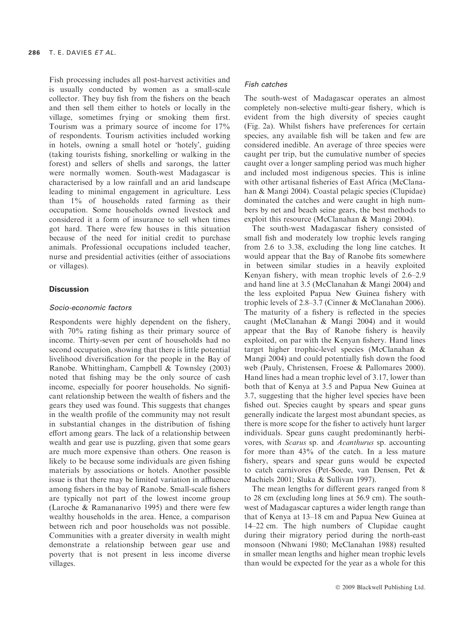Fish processing includes all post-harvest activities and is usually conducted by women as a small-scale collector. They buy fish from the fishers on the beach and then sell them either to hotels or locally in the village, sometimes frying or smoking them first. Tourism was a primary source of income for 17% of respondents. Tourism activities included working in hotels, owning a small hotel or 'hotely', guiding (taking tourists fishing, snorkelling or walking in the forest) and sellers of shells and sarongs, the latter were normally women. South-west Madagascar is characterised by a low rainfall and an arid landscape leading to minimal engagement in agriculture. Less than 1% of households rated farming as their occupation. Some households owned livestock and considered it a form of insurance to sell when times got hard. There were few houses in this situation because of the need for initial credit to purchase animals. Professional occupations included teacher, nurse and presidential activities (either of associations or villages).

#### **Discussion**

#### Socio-economic factors

Respondents were highly dependent on the fishery, with 70% rating fishing as their primary source of income. Thirty-seven per cent of households had no second occupation, showing that there is little potential livelihood diversification for the people in the Bay of Ranobe. Whittingham, Campbell & Townsley (2003) noted that fishing may be the only source of cash income, especially for poorer households. No significant relationship between the wealth of fishers and the gears they used was found. This suggests that changes in the wealth profile of the community may not result in substantial changes in the distribution of fishing effort among gears. The lack of a relationship between wealth and gear use is puzzling, given that some gears are much more expensive than others. One reason is likely to be because some individuals are given fishing materials by associations or hotels. Another possible issue is that there may be limited variation in affluence among fishers in the bay of Ranobe. Small-scale fishers are typically not part of the lowest income group (Laroche & Ramananarivo 1995) and there were few wealthy households in the area. Hence, a comparison between rich and poor households was not possible. Communities with a greater diversity in wealth might demonstrate a relationship between gear use and poverty that is not present in less income diverse villages.

#### Fish catches

The south-west of Madagascar operates an almost completely non-selective multi-gear fishery, which is evident from the high diversity of species caught (Fig. 2a). Whilst fishers have preferences for certain species, any available fish will be taken and few are considered inedible. An average of three species were caught per trip, but the cumulative number of species caught over a longer sampling period was much higher and included most indigenous species. This is inline with other artisanal fisheries of East Africa (McClanahan & Mangi 2004). Coastal pelagic species (Clupidae) dominated the catches and were caught in high numbers by net and beach seine gears, the best methods to exploit this resource (McClanahan & Mangi 2004).

The south-west Madagascar fishery consisted of small fish and moderately low trophic levels ranging from 2.6 to 3.38, excluding the long line catches. It would appear that the Bay of Ranobe fits somewhere in between similar studies in a heavily exploited Kenyan fishery, with mean trophic levels of 2.6–2.9 and hand line at 3.5 (McClanahan & Mangi 2004) and the less exploited Papua New Guinea fishery with trophic levels of 2.8–3.7 (Cinner & McClanahan 2006). The maturity of a fishery is reflected in the species caught (McClanahan & Mangi 2004) and it would appear that the Bay of Ranobe fishery is heavily exploited, on par with the Kenyan fishery. Hand lines target higher trophic-level species (McClanahan & Mangi 2004) and could potentially fish down the food web (Pauly, Christensen, Froese & Pallomares 2000). Hand lines had a mean trophic level of 3.17, lower than both that of Kenya at 3.5 and Papua New Guinea at 3.7, suggesting that the higher level species have been fished out. Species caught by spears and spear guns generally indicate the largest most abundant species, as there is more scope for the fisher to actively hunt larger individuals. Spear guns caught predominantly herbivores, with Scarus sp. and Acanthurus sp. accounting for more than 43% of the catch. In a less mature fishery, spears and spear guns would be expected to catch carnivores (Pet-Soede, van Densen, Pet & Machiels 2001; Sluka & Sullivan 1997).

The mean lengths for different gears ranged from 8 to 28 cm (excluding long lines at 56.9 cm). The southwest of Madagascar captures a wider length range than that of Kenya at 13–18 cm and Papua New Guinea at 14–22 cm. The high numbers of Clupidae caught during their migratory period during the north-east monsoon (Nhwani 1980; McClanahan 1988) resulted in smaller mean lengths and higher mean trophic levels than would be expected for the year as a whole for this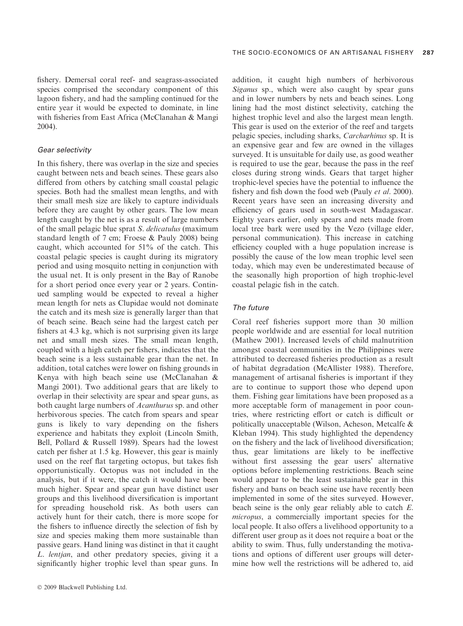fishery. Demersal coral reef- and seagrass-associated species comprised the secondary component of this lagoon fishery, and had the sampling continued for the entire year it would be expected to dominate, in line with fisheries from East Africa (McClanahan & Mangi 2004).

#### Gear selectivity

In this fishery, there was overlap in the size and species caught between nets and beach seines. These gears also differed from others by catching small coastal pelagic species. Both had the smallest mean lengths, and with their small mesh size are likely to capture individuals before they are caught by other gears. The low mean length caught by the net is as a result of large numbers of the small pelagic blue sprat S. delicatulus (maximum standard length of 7 cm; Froese & Pauly 2008) being caught, which accounted for 51% of the catch. This coastal pelagic species is caught during its migratory period and using mosquito netting in conjunction with the usual net. It is only present in the Bay of Ranobe for a short period once every year or 2 years. Continued sampling would be expected to reveal a higher mean length for nets as Clupidae would not dominate the catch and its mesh size is generally larger than that of beach seine. Beach seine had the largest catch per fishers at 4.3 kg, which is not surprising given its large net and small mesh sizes. The small mean length, coupled with a high catch per fishers, indicates that the beach seine is a less sustainable gear than the net. In addition, total catches were lower on fishing grounds in Kenya with high beach seine use (McClanahan & Mangi 2001). Two additional gears that are likely to overlap in their selectivity are spear and spear guns, as both caught large numbers of Acanthurus sp. and other herbivorous species. The catch from spears and spear guns is likely to vary depending on the fishers experience and habitats they exploit (Lincoln Smith, Bell, Pollard & Russell 1989). Spears had the lowest catch per fisher at 1.5 kg. However, this gear is mainly used on the reef flat targeting octopus, but takes fish opportunistically. Octopus was not included in the analysis, but if it were, the catch it would have been much higher. Spear and spear gun have distinct user groups and this livelihood diversification is important for spreading household risk. As both users can actively hunt for their catch, there is more scope for the fishers to influence directly the selection of fish by size and species making them more sustainable than passive gears. Hand lining was distinct in that it caught L. lentjan, and other predatory species, giving it a significantly higher trophic level than spear guns. In addition, it caught high numbers of herbivorous Siganus sp., which were also caught by spear guns and in lower numbers by nets and beach seines. Long lining had the most distinct selectivity, catching the highest trophic level and also the largest mean length. This gear is used on the exterior of the reef and targets pelagic species, including sharks, Carcharhinus sp. It is an expensive gear and few are owned in the villages surveyed. It is unsuitable for daily use, as good weather is required to use the gear, because the pass in the reef closes during strong winds. Gears that target higher trophic-level species have the potential to influence the fishery and fish down the food web (Pauly et al. 2000). Recent years have seen an increasing diversity and efficiency of gears used in south-west Madagascar. Eighty years earlier, only spears and nets made from local tree bark were used by the Vezo (village elder, personal communication). This increase in catching efficiency coupled with a huge population increase is possibly the cause of the low mean trophic level seen today, which may even be underestimated because of the seasonally high proportion of high trophic-level coastal pelagic fish in the catch.

#### The future

Coral reef fisheries support more than 30 million people worldwide and are essential for local nutrition (Mathew 2001). Increased levels of child malnutrition amongst coastal communities in the Philippines were attributed to decreased fisheries production as a result of habitat degradation (McAllister 1988). Therefore, management of artisanal fisheries is important if they are to continue to support those who depend upon them. Fishing gear limitations have been proposed as a more acceptable form of management in poor countries, where restricting effort or catch is difficult or politically unacceptable (Wilson, Acheson, Metcalfe & Kleban 1994). This study highlighted the dependency on the fishery and the lack of livelihood diversification; thus, gear limitations are likely to be ineffective without first assessing the gear users' alternative options before implementing restrictions. Beach seine would appear to be the least sustainable gear in this fishery and bans on beach seine use have recently been implemented in some of the sites surveyed. However, beach seine is the only gear reliably able to catch E. micropus, a commercially important species for the local people. It also offers a livelihood opportunity to a different user group as it does not require a boat or the ability to swim. Thus, fully understanding the motivations and options of different user groups will determine how well the restrictions will be adhered to, aid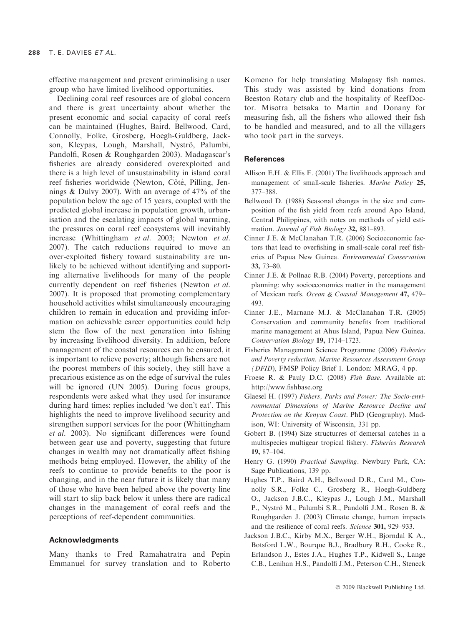effective management and prevent criminalising a user group who have limited livelihood opportunities.

Declining coral reef resources are of global concern and there is great uncertainty about whether the present economic and social capacity of coral reefs can be maintained (Hughes, Baird, Bellwood, Card, Connolly, Folke, Grosberg, Hoegh-Guldberg, Jackson, Kleypas, Lough, Marshall, Nyströ, Palumbi, Pandolfi, Rosen & Roughgarden 2003). Madagascar's fisheries are already considered overexploited and there is a high level of unsustainability in island coral reef fisheries worldwide (Newton, Côté, Pilling, Jennings & Dulvy 2007). With an average of 47% of the population below the age of 15 years, coupled with the predicted global increase in population growth, urbanisation and the escalating impacts of global warming, the pressures on coral reef ecosystems will inevitably increase (Whittingham et al. 2003; Newton et al. 2007). The catch reductions required to move an over-exploited fishery toward sustainability are unlikely to be achieved without identifying and supporting alternative livelihoods for many of the people currently dependent on reef fisheries (Newton et al. 2007). It is proposed that promoting complementary household activities whilst simultaneously encouraging children to remain in education and providing information on achievable career opportunities could help stem the flow of the next generation into fishing by increasing livelihood diversity. In addition, before management of the coastal resources can be ensured, it is important to relieve poverty; although fishers are not the poorest members of this society, they still have a precarious existence as on the edge of survival the rules will be ignored (UN 2005). During focus groups, respondents were asked what they used for insurance during hard times: replies included 'we don't eat'. This highlights the need to improve livelihood security and strengthen support services for the poor (Whittingham et al. 2003). No significant differences were found between gear use and poverty, suggesting that future changes in wealth may not dramatically affect fishing methods being employed. However, the ability of the reefs to continue to provide benefits to the poor is changing, and in the near future it is likely that many of those who have been helped above the poverty line will start to slip back below it unless there are radical changes in the management of coral reefs and the perceptions of reef-dependent communities.

#### Acknowledgments

Many thanks to Fred Ramahatratra and Pepin Emmanuel for survey translation and to Roberto Komeno for help translating Malagasy fish names. This study was assisted by kind donations from Beeston Rotary club and the hospitality of ReefDoctor. Misotra betsaka to Martin and Donany for measuring fish, all the fishers who allowed their fish to be handled and measured, and to all the villagers who took part in the surveys.

#### References

- Allison E.H. & Ellis F. (2001) The livelihoods approach and management of small-scale fisheries. Marine Policy 25, 377–388.
- Bellwood D. (1988) Seasonal changes in the size and composition of the fish yield from reefs around Apo Island, Central Philippines, with notes on methods of yield estimation. Journal of Fish Biology 32, 881-893.
- Cinner J.E. & McClanahan T.R. (2006) Socioeconomic factors that lead to overfishing in small-scale coral reef fisheries of Papua New Guinea. Environmental Conservation 33, 73–80.
- Cinner J.E. & Pollnac R.B. (2004) Poverty, perceptions and planning: why socioeconomics matter in the management of Mexican reefs. Ocean & Coastal Management 47, 479– 493.
- Cinner J.E., Marnane M.J. & McClanahan T.R. (2005) Conservation and community benefits from traditional marine management at Ahus Island, Papua New Guinea. Conservation Biology 19, 1714–1723.
- Fisheries Management Science Programme (2006) Fisheries and Poverty reduction. Marine Resources Assessment Group (DFID), FMSP Policy Brief 1. London: MRAG, 4 pp.
- Froese R. & Pauly D.C. (2008) Fish Base. Available at: http://www.fishbase.org
- Glaesel H. (1997) Fishers, Parks and Power: The Socio-environmental Dimensions of Marine Resource Decline and Protection on the Kenyan Coast. PhD (Geography). Madison, WI: University of Wisconsin, 331 pp.
- Gobert B. (1994) Size structurres of demersal catches in a multispecies multigear tropical fishery. Fisheries Research 19, 87–104.
- Henry G. (1990) Practical Sampling. Newbury Park, CA: Sage Publications, 139 pp.
- Hughes T.P., Baird A.H., Bellwood D.R., Card M., Connolly S.R., Folke C., Grosberg R., Hoegh-Guldberg O., Jackson J.B.C., Kleypas J., Lough J.M., Marshall P., Nyströ M., Palumbi S.R., Pandolfi J.M., Rosen B. & Roughgarden J. (2003) Climate change, human impacts and the resilience of coral reefs. Science 301, 929–933.
- Jackson J.B.C., Kirby M.X., Berger W.H., Bjorndal K A., Botsford L.W., Bourque B.J., Bradbury R.H., Cooke R., Erlandson J., Estes J.A., Hughes T.P., Kidwell S., Lange C.B., Lenihan H.S., Pandolfi J.M., Peterson C.H., Steneck